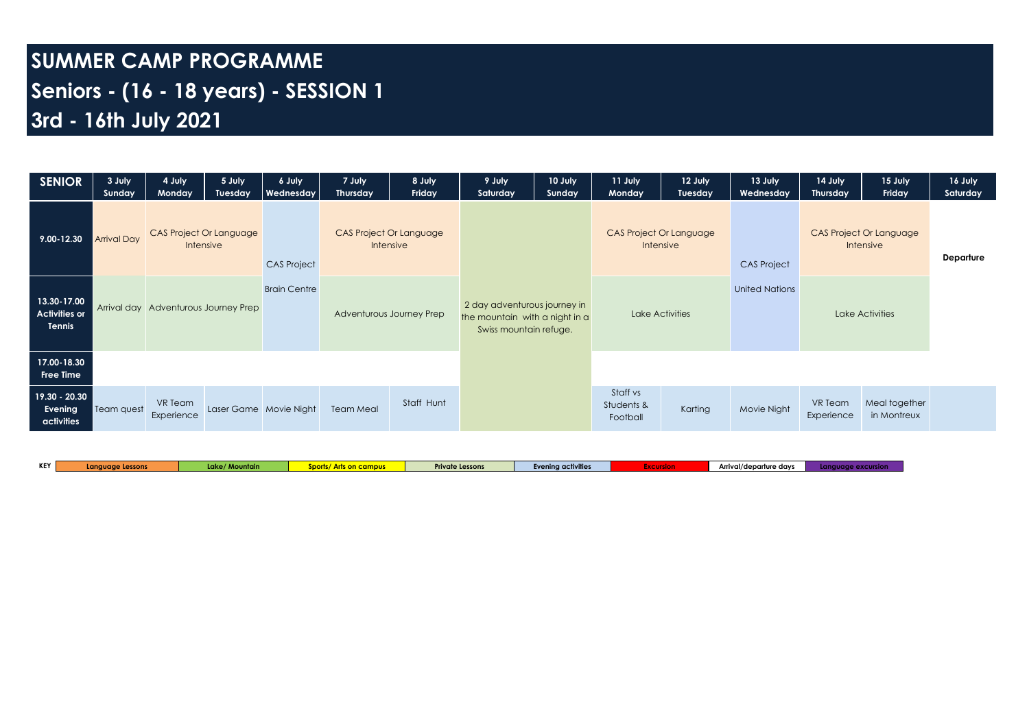## **SUMMER CAMP PROGRAMME Seniors - (16 - 18 years) - SESSION 1 3rd - 16th July 2021**

| <b>SENIOR</b>                                        | 3 July<br>Sunday                                                                                                                       | 4 July<br><b>Monday</b> | 5 July<br>Tuesday                    | 6 July<br>Wednesday    | 7 July<br><b>Thursday</b> | 8 July<br>Friday                                   | 9 July<br>Saturday                                                                       | 10 July<br>Sunday  | 11 July<br><b>Monday</b>                           | 12 July<br><b>Tuesday</b> | 13 July<br><b>Wednesday</b> | 14 July<br>Thursday   | 15 July<br>Friday            | 16 July<br>Saturday |
|------------------------------------------------------|----------------------------------------------------------------------------------------------------------------------------------------|-------------------------|--------------------------------------|------------------------|---------------------------|----------------------------------------------------|------------------------------------------------------------------------------------------|--------------------|----------------------------------------------------|---------------------------|-----------------------------|-----------------------|------------------------------|---------------------|
| $9.00 - 12.30$                                       | CAS Project Or Language<br>CAS Project Or Language<br><b>Arrival Day</b><br><b>Intensive</b><br><b>Intensive</b><br><b>CAS Project</b> |                         |                                      |                        |                           | <b>CAS Project Or Language</b><br><b>Intensive</b> |                                                                                          | <b>CAS Project</b> | <b>CAS Project Or Language</b><br><b>Intensive</b> |                           | Departure                   |                       |                              |                     |
| 13.30-17.00<br><b>Activities or</b><br><b>Tennis</b> |                                                                                                                                        |                         | Arrival day Adventurous Journey Prep | <b>Brain Centre</b>    |                           | Adventurous Journey Prep                           | 2 day adventurous journey in<br>the mountain with a night in a<br>Swiss mountain refuge. |                    | Lake Activities                                    |                           | <b>United Nations</b>       | Lake Activities       |                              |                     |
| 17.00-18.30<br><b>Free Time</b>                      |                                                                                                                                        |                         |                                      |                        |                           |                                                    |                                                                                          |                    |                                                    |                           |                             |                       |                              |                     |
| 19.30 - 20.30<br><b>Evening</b><br>activities        | Team quest                                                                                                                             | VR Team<br>Experience   |                                      | Laser Game Movie Night | Team Meal                 | Staff Hunt                                         |                                                                                          |                    | Staff vs<br>Students &<br>Football                 | Karting                   | Movie Night                 | VR Team<br>Experience | Meal together<br>in Montreux |                     |

|  | KEY |  | <b><i>FALLE</i></b><br>Lak. |  | <b>Private Lessons</b> | auna activities a<br>Eveni |  | $\cdots$<br>` 'al/departure davs<br>Arrivo |  |
|--|-----|--|-----------------------------|--|------------------------|----------------------------|--|--------------------------------------------|--|
|--|-----|--|-----------------------------|--|------------------------|----------------------------|--|--------------------------------------------|--|